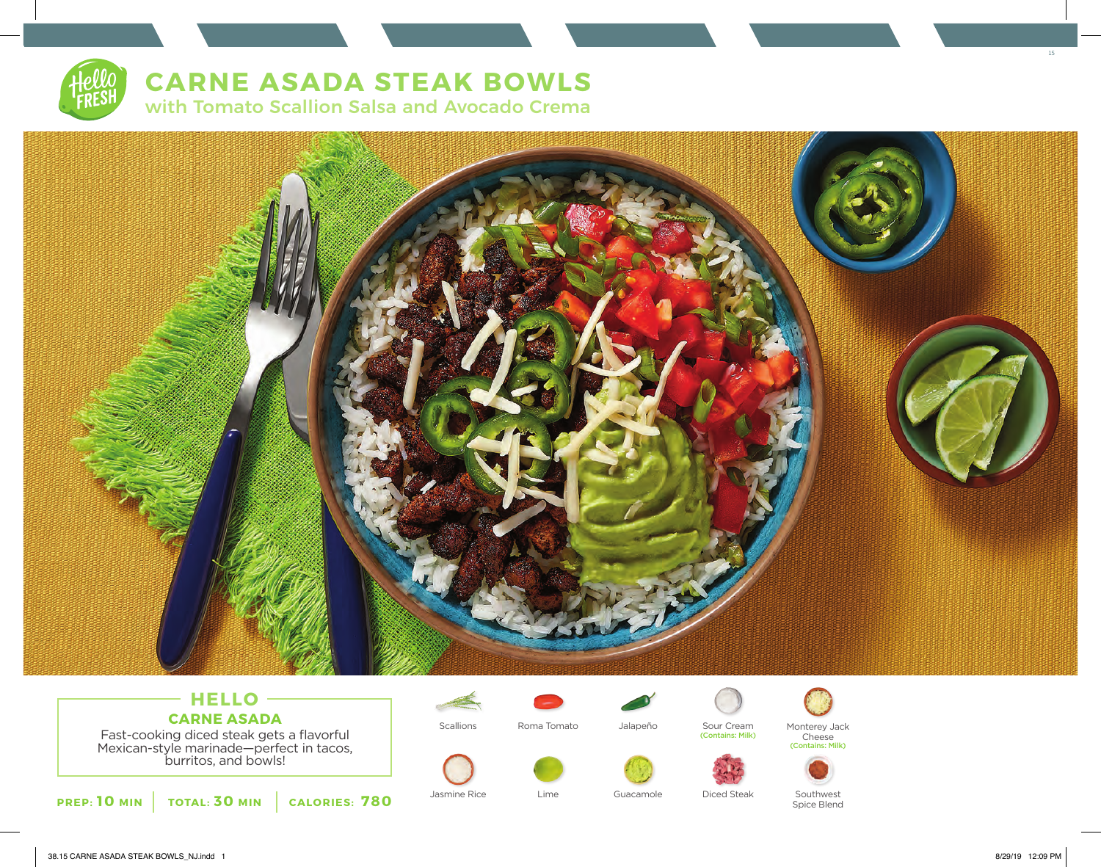# **CARNE ASADA STEAK BOWLS**

with Tomato Scallion Salsa and Avocado Crema



## **HELLO CARNE ASADA**

Fast-cooking diced steak gets a flavorful Mexican-style marinade—perfect in tacos, burritos, and bowls!





Roma Tomato

Lime

Jalapeño

Jasmine Rice Lime Guacamole Diced Steak



Scallions Roma Tomato Jalapeño Sour Cream<br>Contains: Milk)







Spice Blend

38.15 CARNE ASADA STEAK BOWLS\_NJ.indd 1 8/29/19 12:09 PM

15